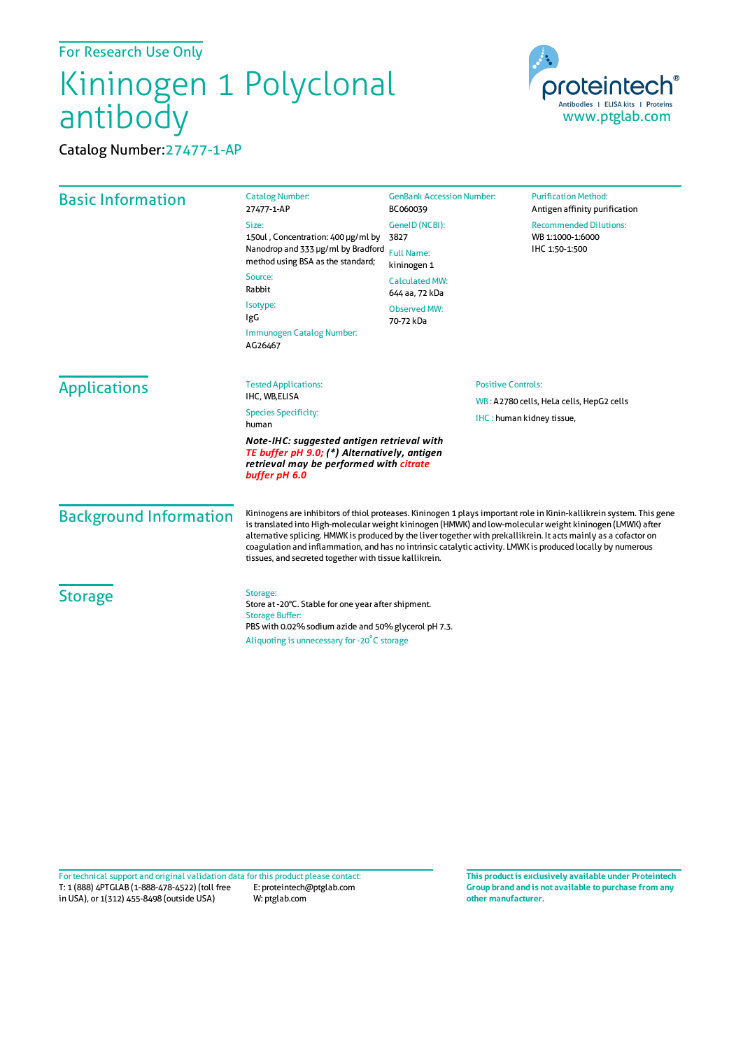For Research Use Only

## Kininogen 1 Polyclonal antibody

Catalog Number:27477-1-AP



| <b>Basic Information</b>      | <b>Catalog Number:</b><br>27477-1-AP<br>Size:<br>150ul, Concentration: 400 µg/ml by<br>Nanodrop and 333 µg/ml by Bradford<br>method using BSA as the standard;<br>Source:<br>Rabbit<br>Isotype:<br>IgG<br>Immunogen Catalog Number:<br>AG26467                                                                                                                                                                                                                                                                                 | <b>GenBank Accession Number:</b><br>BC060039<br>GenelD (NCBI):<br>3827<br><b>Full Name:</b><br>kininogen 1<br><b>Calculated MW:</b><br>644 aa, 72 kDa<br>Observed MW:<br>70-72 kDa | <b>Purification Method:</b><br>Antigen affinity purification<br><b>Recommended Dilutions:</b><br>WB 1:1000-1:6000<br>IHC 1:50-1:500 |
|-------------------------------|--------------------------------------------------------------------------------------------------------------------------------------------------------------------------------------------------------------------------------------------------------------------------------------------------------------------------------------------------------------------------------------------------------------------------------------------------------------------------------------------------------------------------------|------------------------------------------------------------------------------------------------------------------------------------------------------------------------------------|-------------------------------------------------------------------------------------------------------------------------------------|
| <b>Applications</b>           | <b>Tested Applications:</b><br>IHC, WB,ELISA<br><b>Species Specificity:</b><br>human<br>Note-IHC: suggested antigen retrieval with<br>TE buffer pH 9.0; (*) Alternatively, antigen<br>retrieval may be performed with citrate<br>buffer pH 6.0                                                                                                                                                                                                                                                                                 | <b>Positive Controls:</b><br>WB: A2780 cells, HeLa cells, HepG2 cells<br>IHC: human kidney tissue,                                                                                 |                                                                                                                                     |
| <b>Background Information</b> | Kininogens are inhibitors of thiol proteases. Kininogen 1 plays important role in Kinin-kallikrein system. This gene<br>is translated into High-molecular weight kininogen (HMWK) and low-molecular weight kininogen (LMWK) after<br>alternative splicing. HMWK is produced by the liver together with prekallikrein. It acts mainly as a cofactor on<br>coagulation and inflammation, and has no intrinsic catalytic activity. LMWK is produced locally by numerous<br>tissues, and secreted together with tissue kallikrein. |                                                                                                                                                                                    |                                                                                                                                     |
| <b>Storage</b>                | Storage:<br>Store at -20°C. Stable for one year after shipment.<br><b>Storage Buffer:</b><br>PBS with 0.02% sodium azide and 50% glycerol pH 7.3.<br>Aliquoting is unnecessary for -20°C storage                                                                                                                                                                                                                                                                                                                               |                                                                                                                                                                                    |                                                                                                                                     |

T: 1 (888) 4PTGLAB (1-888-478-4522) (toll free in USA), or 1(312) 455-8498 (outside USA) E: proteintech@ptglab.com W: ptglab.com Fortechnical support and original validation data forthis product please contact: **This productis exclusively available under Proteintech**

**Group brand and is not available to purchase from any other manufacturer.**